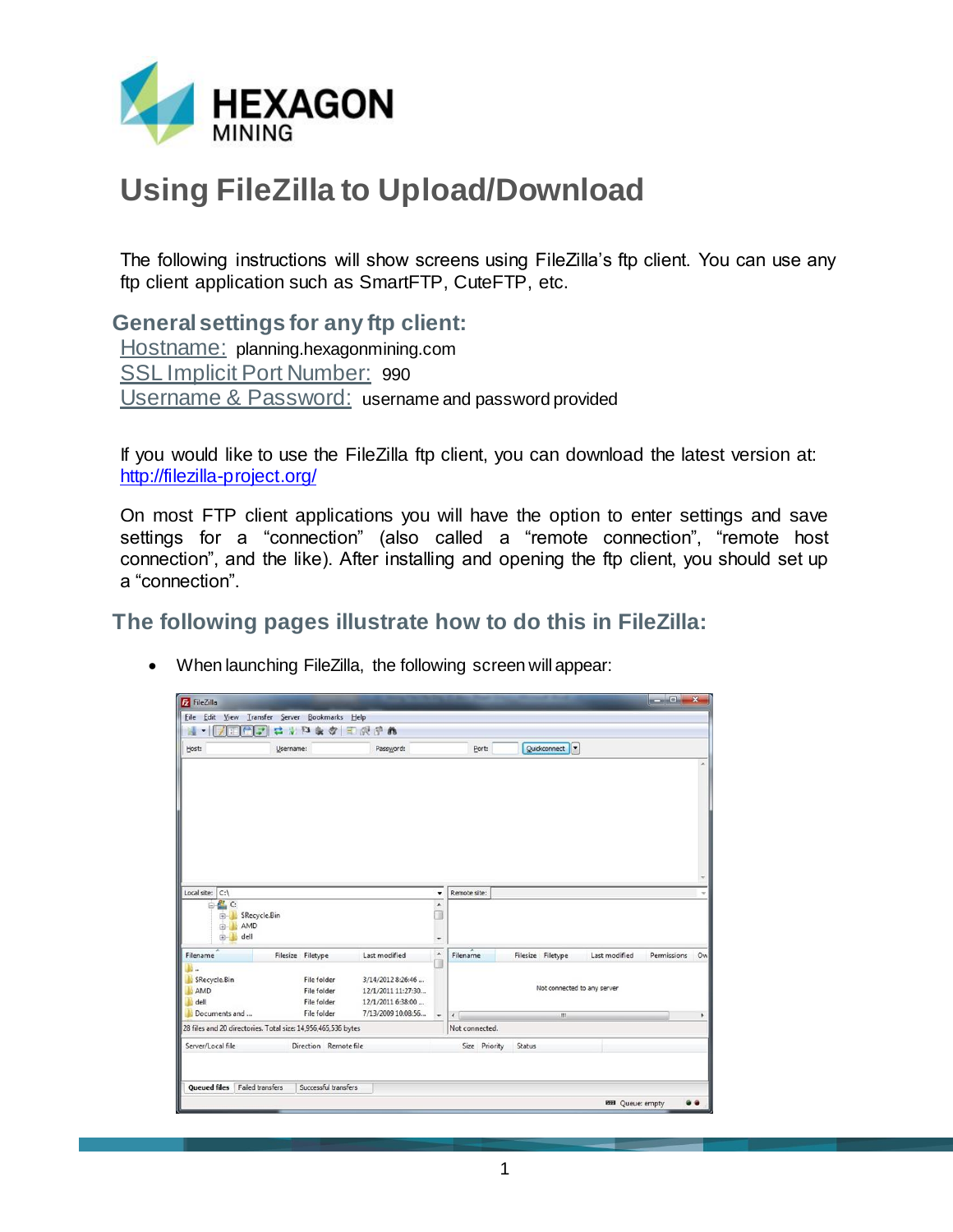

## **Using FileZilla to Upload/Download**

The following instructions will show screens using FileZilla's ftp client. You can use any ftp client application such as SmartFTP, CuteFTP, etc.

**General settings for any ftp client:**

Hostname: planning.hexagonmining.com SSL Implicit Port Number: 990 Username & Password: username and password provided

If you would like to use the FileZilla ftp client, you can download the latest version at: <http://filezilla-project.org/>

On most FTP client applications you will have the option to enter settings and save settings for a "connection" (also called a "remote connection", "remote host connection", and the like). After installing and opening the ftp client, you should set up a "connection".

**The following pages illustrate how to do this in FileZilla:**

|  | When launching FileZilla, the following screen will appear: |  |  |
|--|-------------------------------------------------------------|--|--|
|--|-------------------------------------------------------------|--|--|

| FileZilla                              |                                                               |                                         |                          |                |                             |                        | $\Box$ $\Box$ $X$ |           |
|----------------------------------------|---------------------------------------------------------------|-----------------------------------------|--------------------------|----------------|-----------------------------|------------------------|-------------------|-----------|
|                                        | File Edit View Transfer Server Bookmarks Help                 |                                         |                          |                |                             |                        |                   |           |
|                                        | 二十四条文国民子的                                                     |                                         |                          |                |                             |                        |                   |           |
| Host:                                  | Username:                                                     | Password:                               |                          | Port:          | Quickconnect                |                        |                   |           |
|                                        |                                                               |                                         |                          |                |                             |                        |                   | $\lambda$ |
|                                        |                                                               |                                         |                          |                |                             |                        |                   |           |
|                                        |                                                               |                                         |                          |                |                             |                        |                   |           |
|                                        |                                                               |                                         |                          |                |                             |                        |                   |           |
|                                        |                                                               |                                         |                          |                |                             |                        |                   |           |
|                                        |                                                               |                                         |                          |                |                             |                        |                   |           |
|                                        |                                                               |                                         |                          |                |                             |                        |                   |           |
|                                        |                                                               |                                         |                          |                |                             |                        |                   |           |
|                                        |                                                               |                                         |                          | Remote site:   |                             |                        |                   |           |
| Local site: $ C:\rangle$<br>PL C:<br>白 |                                                               |                                         | ۰<br>$\blacktriangle$    |                |                             |                        |                   |           |
| 由-                                     | SRecycle.Bin                                                  |                                         | п                        |                |                             |                        |                   |           |
| 亩<br>dell<br>田一                        | AMD                                                           |                                         |                          |                |                             |                        |                   |           |
|                                        |                                                               |                                         | ÷<br>$\hat{\phantom{a}}$ |                |                             |                        |                   |           |
| Filename<br>И.                         | Filesize Filetype                                             | Last modified                           |                          | Filename       | Filesize Filetype           | Last modified          | Permissions       | Ow        |
| SRecycle.Bin                           | File folder                                                   | 3/14/2012 8:26:46                       |                          |                |                             |                        |                   |           |
| <b>AMD</b>                             | File folder                                                   | 12/1/2011 11:27:30                      |                          |                | Not connected to any server |                        |                   |           |
| dell<br>Documents and                  | File folder<br>File folder                                    | 12/1/2011 6:38:00<br>7/13/2009 10:08:56 |                          |                |                             |                        |                   |           |
|                                        |                                                               |                                         | ٠                        | $\leftarrow$   | III.                        |                        |                   | ٠         |
|                                        | 28 files and 20 directories. Total size: 14,956,465,536 bytes |                                         |                          | Not connected. |                             |                        |                   |           |
| Server/Local file                      | Direction Remote file                                         |                                         |                          | Size Priority  | Status                      |                        |                   |           |
|                                        |                                                               |                                         |                          |                |                             |                        |                   |           |
|                                        |                                                               |                                         |                          |                |                             |                        |                   |           |
| <b>Queued files</b> Failed transfers   | Successful transfers                                          |                                         |                          |                |                             |                        |                   |           |
|                                        |                                                               |                                         |                          |                |                             | <b>MH</b> Queue: empty |                   |           |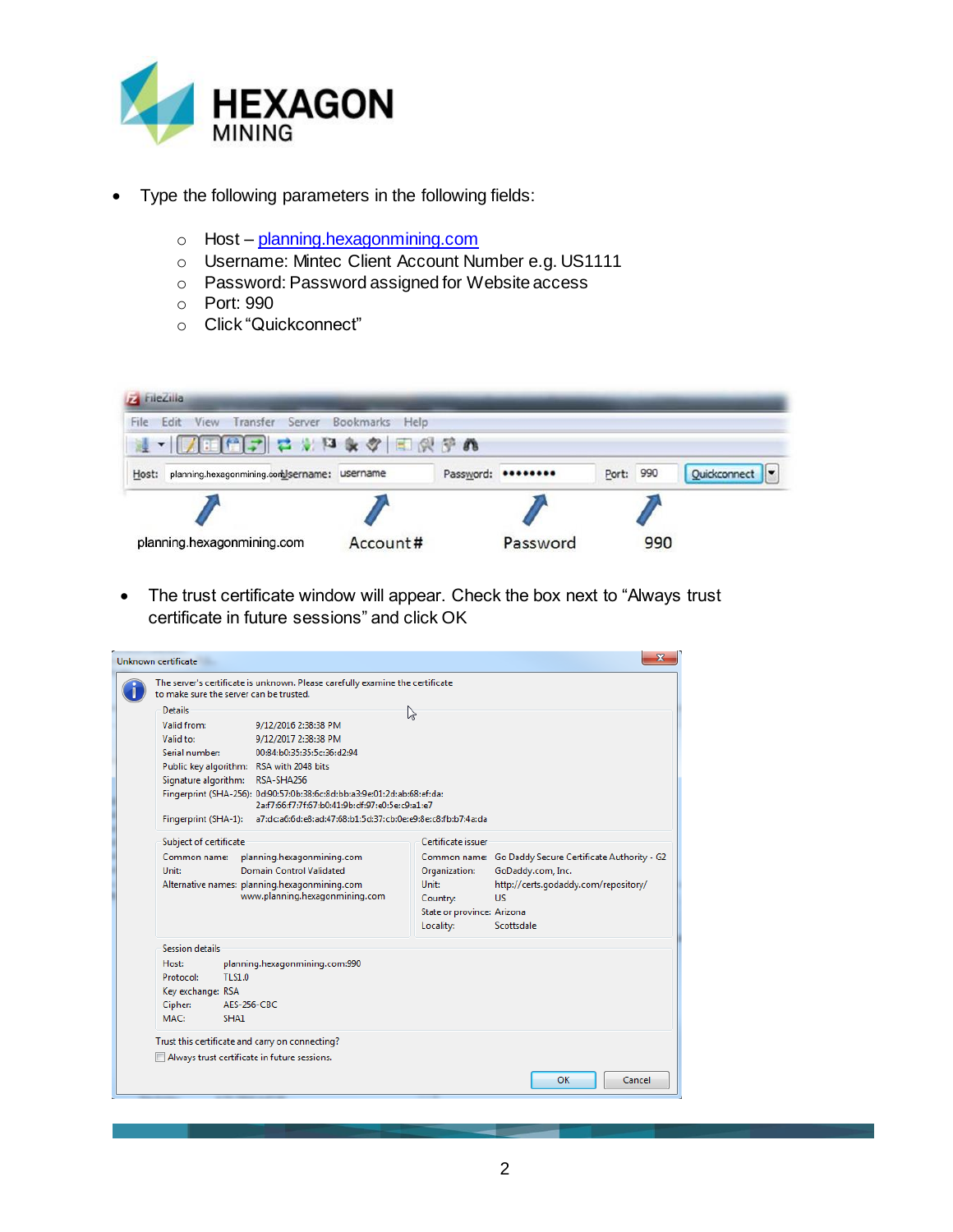

- Type the following parameters in the following fields:
	- o Host [planning.hexagonmining.com](ftp://ftp.minesight.com/)
	- o Username: Mintec Client Account Number e.g. US1111
	- o Password: Password assigned for Website access
	- o Port: 990
	- o Click "Quickconnect"



• The trust certificate window will appear. Check the box next to "Always trust" certificate in future sessions" and click OK

| Unknown certificate                          |                                                                                                                            |                                                              | $\overline{\mathbf{x}}$                                                      |  |  |  |
|----------------------------------------------|----------------------------------------------------------------------------------------------------------------------------|--------------------------------------------------------------|------------------------------------------------------------------------------|--|--|--|
|                                              | The server's certificate is unknown. Please carefully examine the certificate<br>to make sure the server can be trusted.   |                                                              |                                                                              |  |  |  |
| <b>Details</b>                               |                                                                                                                            | じ                                                            |                                                                              |  |  |  |
| Valid from:                                  | 9/12/2016 2:38:38 PM                                                                                                       |                                                              |                                                                              |  |  |  |
| Valid to:                                    | 9/12/2017 2:38:38 PM                                                                                                       |                                                              |                                                                              |  |  |  |
| Serial number:                               | 00:84:b0:35:35:5c:36:d2:94                                                                                                 |                                                              |                                                                              |  |  |  |
|                                              | Public key algorithm: RSA with 2048 bits                                                                                   |                                                              |                                                                              |  |  |  |
|                                              | Signature algorithm: RSA-SHA256                                                                                            |                                                              |                                                                              |  |  |  |
|                                              | Fingerprint (SHA-256): 0d:90:57:0b:38:6c:8d:bb:a3:9e:01:2d:ab:68:ef:da:<br>2a:f7:66:f7:7f:67:b0:41:9b:df:97:e0:5e:c9:a1:e7 |                                                              |                                                                              |  |  |  |
| Fingerprint (SHA-1):                         | a7:dc:a6:6d:e8:ad:47:68:b1:5d:37:cb:0e:e9:8e:c8:fb:b7:4a:da                                                                |                                                              |                                                                              |  |  |  |
| Subject of certificate                       |                                                                                                                            | Certificate issuer.                                          |                                                                              |  |  |  |
| Common name:<br>Unit:                        | planning.hexagonmining.com<br>Domain Control Validated                                                                     | Organization:                                                | Common name: Go Daddy Secure Certificate Authority - G2<br>GoDaddy.com, Inc. |  |  |  |
|                                              | Alternative names: planning.hexagonmining.com<br>www.planning.hexagonmining.com                                            | Unit:<br>Country:<br>State or province: Arizona<br>Locality: | http://certs.godaddy.com/repository/<br><b>US</b><br>Scottsdale              |  |  |  |
| Session details                              |                                                                                                                            |                                                              |                                                                              |  |  |  |
| Host:                                        | planning.hexagonmining.com:990                                                                                             |                                                              |                                                                              |  |  |  |
| Protocol:                                    | TLS1.0                                                                                                                     |                                                              |                                                                              |  |  |  |
| Key exchange: RSA                            |                                                                                                                            |                                                              |                                                                              |  |  |  |
| Cipher:                                      | AES-256-CBC                                                                                                                |                                                              |                                                                              |  |  |  |
| MAC:                                         | SHA1                                                                                                                       |                                                              |                                                                              |  |  |  |
|                                              |                                                                                                                            |                                                              |                                                                              |  |  |  |
|                                              | Trust this certificate and carry on connecting?                                                                            |                                                              |                                                                              |  |  |  |
| Always trust certificate in future sessions. |                                                                                                                            |                                                              |                                                                              |  |  |  |
|                                              |                                                                                                                            |                                                              | OK<br>Cancel                                                                 |  |  |  |